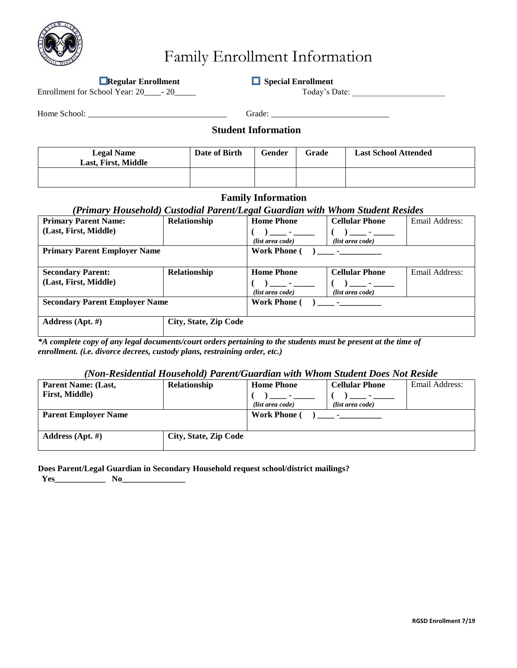

# Family Enrollment Information

**Regular Enrollment** Special Enrollment

Enrollment for School Year: 20\_\_\_\_- 20\_\_\_\_\_\_ Today's Date: \_\_\_\_\_\_\_\_\_\_\_\_\_\_\_\_\_\_\_\_\_

Home School: \_\_\_\_\_\_\_\_\_\_\_\_\_\_\_\_\_\_\_\_\_\_\_\_\_\_\_\_\_\_\_\_\_ Grade: \_\_\_\_\_\_\_\_\_\_\_\_\_\_\_\_\_\_\_\_\_\_\_\_\_\_\_\_

### **Student Information**

| <b>Legal Name</b><br>Last, First, Middle | Date of Birth | Gender | Grade | <b>Last School Attended</b> |
|------------------------------------------|---------------|--------|-------|-----------------------------|
|                                          |               |        |       |                             |

### **Family Information**

### *(Primary Household) Custodial Parent/Legal Guardian with Whom Student Resides*

|                                       |                       | o                                 |                          |                |  |
|---------------------------------------|-----------------------|-----------------------------------|--------------------------|----------------|--|
| <b>Primary Parent Name:</b>           | Relationship          | <b>Home Phone</b>                 | <b>Cellular Phone</b>    | Email Address: |  |
| (Last, First, Middle)                 |                       | <b>Contract Contract</b>          | <b>Contract Contract</b> |                |  |
|                                       |                       | (list area code)                  | (list area code)         |                |  |
| <b>Primary Parent Employer Name</b>   |                       | <b>Work Phone</b> (               |                          |                |  |
|                                       |                       |                                   |                          |                |  |
| <b>Secondary Parent:</b>              | Relationship          | <b>Home Phone</b>                 | <b>Cellular Phone</b>    | Email Address: |  |
| (Last, First, Middle)                 |                       | <b>Contract Contract Contract</b> | $\overline{\phantom{a}}$ |                |  |
|                                       |                       | (list area code)                  | (list area code)         |                |  |
| <b>Secondary Parent Employer Name</b> |                       | <b>Work Phone</b> (               |                          |                |  |
|                                       |                       |                                   |                          |                |  |
| Address (Apt. #)                      | City, State, Zip Code |                                   |                          |                |  |
|                                       |                       |                                   |                          |                |  |

*\*A complete copy of any legal documents/court orders pertaining to the students must be present at the time of enrollment. (i.e. divorce decrees, custody plans, restraining order, etc.)* 

### *(Non-Residential Household) Parent/Guardian with Whom Student Does Not Reside*

| Parent Name: (Last,         | <b>Relationship</b>   | <b>Home Phone</b>   | <b>Cellular Phone</b>                     | Email Address: |
|-----------------------------|-----------------------|---------------------|-------------------------------------------|----------------|
| <b>First, Middle</b> )      |                       |                     |                                           |                |
|                             |                       | (list area code)    | (list area code)                          |                |
| <b>Parent Employer Name</b> |                       | <b>Work Phone</b> ( | the company of the company of the company |                |
| Address $(Apt. \#)$         | City, State, Zip Code |                     |                                           |                |
|                             |                       |                     |                                           |                |

### **Does Parent/Legal Guardian in Secondary Household request school/district mailings?**

**Yes\_\_\_\_\_\_\_\_\_\_\_\_ No\_\_\_\_\_\_\_\_\_\_\_\_\_\_\_**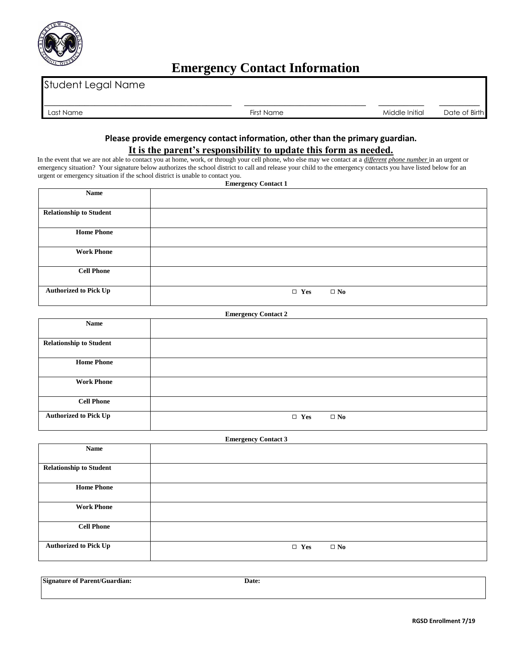

## **Emergency Contact Information**

| $\cap$ c1<br>Name | $-$<br>'-irsi<br>* Name | $\cdots$<br>ddle Initial<br>Mio | $\sim$<br>Birth<br>$\cap$<br>ിറ†ല<br>◡ |
|-------------------|-------------------------|---------------------------------|----------------------------------------|

### **Please provide emergency contact information, other than the primary guardian. It is the parent's responsibility to update this form as needed.**

In the event that we are not able to contact you at home, work, or through your cell phone, who else may we contact at a *different phone number* in an urgent or emergency situation? Your signature below authorizes the school district to call and release your child to the emergency contacts you have listed below for an urgent or emergency situation if the school district is unable to contact you. **Emergency Contact 1** 

|                                | Laurgency contact 1        |
|--------------------------------|----------------------------|
| Name                           |                            |
| <b>Relationship to Student</b> |                            |
| <b>Home Phone</b>              |                            |
| <b>Work Phone</b>              |                            |
| <b>Cell Phone</b>              |                            |
| <b>Authorized to Pick Up</b>   | $\Box$ Yes<br>$\square$ No |

#### **Emergency Contact 2**

| <b>Name</b>                    |                            |
|--------------------------------|----------------------------|
|                                |                            |
| <b>Relationship to Student</b> |                            |
|                                |                            |
| <b>Home Phone</b>              |                            |
|                                |                            |
| <b>Work Phone</b>              |                            |
|                                |                            |
| <b>Cell Phone</b>              |                            |
|                                |                            |
| <b>Authorized to Pick Up</b>   | $\square$ No<br>$\Box$ Yes |
|                                |                            |

# **Emergency Contact 3 Name Relationship to Student Home Phone Work Phone Cell Phone Authorized to Pick Up b l l l n c l n c l n c n c n c n c n c n c n c n c n c n c n c n c n c n c n c n c n c n c n c n**

**Signature of Parent/Guardian: Date:**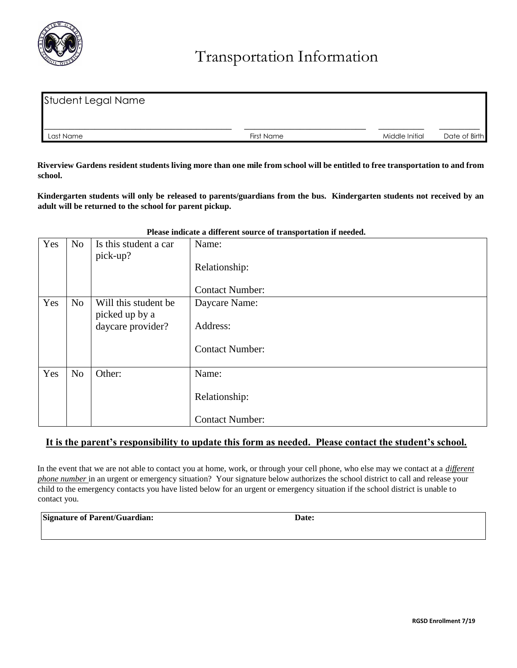

| Student Legal Name |            |                |               |
|--------------------|------------|----------------|---------------|
|                    |            |                |               |
| Last Name          | First Name | Middle Initial | Date of Birth |

**Riverview Gardens resident students living more than one mile from school will be entitled to free transportation to and from school.** 

**Kindergarten students will only be released to parents/guardians from the bus. Kindergarten students not received by an adult will be returned to the school for parent pickup.**

### **Please indicate a different source of transportation if needed.**

## **It is the parent's responsibility to update this form as needed. Please contact the student's school.**

In the event that we are not able to contact you at home, work, or through your cell phone, who else may we contact at a *different phone number* in an urgent or emergency situation? Your signature below authorizes the school district to call and release your child to the emergency contacts you have listed below for an urgent or emergency situation if the school district is unable to contact you.

| <b>Signature of Parent/Guardian:</b> | Date: |
|--------------------------------------|-------|
|--------------------------------------|-------|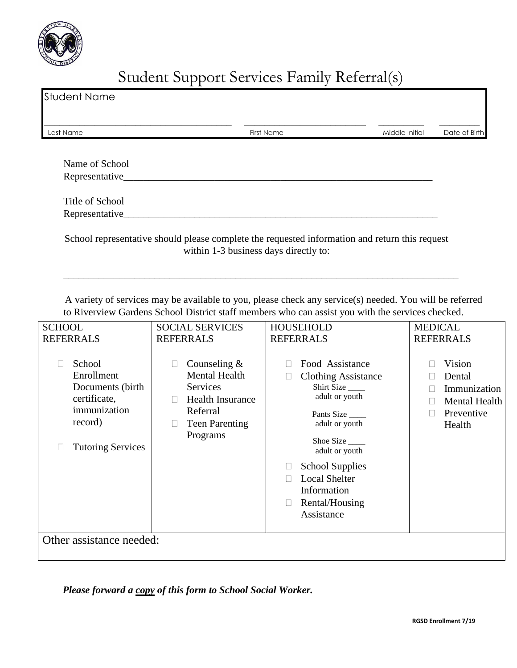

# Student Support Services Family Referral(s)

| <b>Student Name</b> |            |                |               |
|---------------------|------------|----------------|---------------|
| Last Name           | First Name | Middle Initial | Date of Birth |
| Name of School      |            |                |               |
| Representative_     |            |                |               |
| Title of School     |            |                |               |
| Representative_     |            |                |               |

School representative should please complete the requested information and return this request within 1-3 business days directly to:

\_\_\_\_\_\_\_\_\_\_\_\_\_\_\_\_\_\_\_\_\_\_\_\_\_\_\_\_\_\_\_\_\_\_\_\_\_\_\_\_\_\_\_\_\_\_\_\_\_\_\_\_\_\_\_\_\_\_\_\_\_\_\_\_\_\_\_\_\_\_\_\_\_\_\_\_\_\_

A variety of services may be available to you, please check any service(s) needed. You will be referred to Riverview Gardens School District staff members who can assist you with the services checked.

| <b>SCHOOL</b>                                                                                                    | <b>SOCIAL SERVICES</b>                                                                                                                        | <b>HOUSEHOLD</b>                                                                                                                                                                                                                                   | <b>MEDICAL</b>                                                            |
|------------------------------------------------------------------------------------------------------------------|-----------------------------------------------------------------------------------------------------------------------------------------------|----------------------------------------------------------------------------------------------------------------------------------------------------------------------------------------------------------------------------------------------------|---------------------------------------------------------------------------|
| <b>REFERRALS</b>                                                                                                 | <b>REFERRALS</b>                                                                                                                              | <b>REFERRALS</b>                                                                                                                                                                                                                                   | <b>REFERRALS</b>                                                          |
| School<br>Enrollment<br>Documents (birth)<br>certificate,<br>immunization<br>record)<br><b>Tutoring Services</b> | Counseling $&$<br>□<br><b>Mental Health</b><br>Services<br><b>Health Insurance</b><br>П<br>Referral<br><b>Teen Parenting</b><br>□<br>Programs | Food Assistance<br><b>Clothing Assistance</b><br>Shirt Size<br>adult or youth<br>Pants Size<br>adult or youth<br>Shoe Size<br>adult or youth<br><b>School Supplies</b><br><b>Local Shelter</b><br>Information<br>Rental/Housing<br>⊔<br>Assistance | Vision<br>Dental<br>Immunization<br>Mental Health<br>Preventive<br>Health |
| Other assistance needed:                                                                                         |                                                                                                                                               |                                                                                                                                                                                                                                                    |                                                                           |
|                                                                                                                  |                                                                                                                                               |                                                                                                                                                                                                                                                    |                                                                           |

*Please forward a copy of this form to School Social Worker.*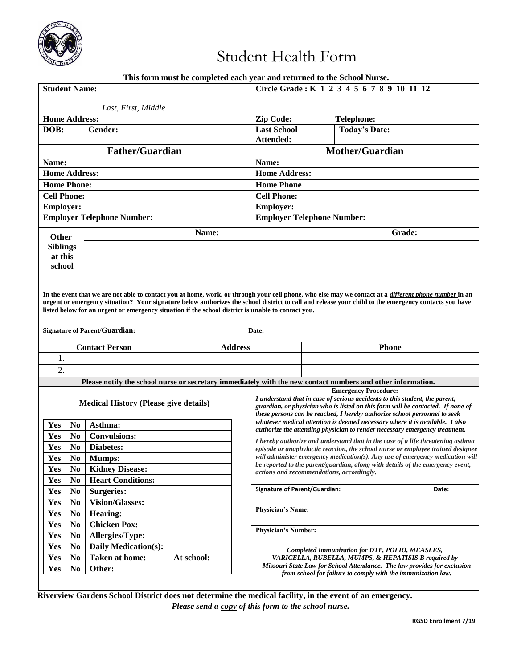

# Student Health Form

|  |  |  |  | This form must be completed each year and returned to the School Nurse. |  |  |
|--|--|--|--|-------------------------------------------------------------------------|--|--|
|--|--|--|--|-------------------------------------------------------------------------|--|--|

| <b>Student Name:</b>                           |                                                                                                                                            |                | Circle Grade: K 1 2 3 4 5 6 7 8 9 10 11 12 |        |                                                                                                                                                                                                                                                                                                               |  |  |
|------------------------------------------------|--------------------------------------------------------------------------------------------------------------------------------------------|----------------|--------------------------------------------|--------|---------------------------------------------------------------------------------------------------------------------------------------------------------------------------------------------------------------------------------------------------------------------------------------------------------------|--|--|
| Last, First, Middle                            |                                                                                                                                            |                |                                            |        |                                                                                                                                                                                                                                                                                                               |  |  |
| <b>Home Address:</b>                           |                                                                                                                                            |                | Zip Code:                                  |        | <b>Telephone:</b>                                                                                                                                                                                                                                                                                             |  |  |
| DOB:                                           | Gender:                                                                                                                                    |                | <b>Last School</b>                         |        | <b>Today's Date:</b>                                                                                                                                                                                                                                                                                          |  |  |
|                                                |                                                                                                                                            |                | Attended:                                  |        |                                                                                                                                                                                                                                                                                                               |  |  |
| <b>Father/Guardian</b>                         |                                                                                                                                            |                | <b>Mother/Guardian</b>                     |        |                                                                                                                                                                                                                                                                                                               |  |  |
| Name:                                          |                                                                                                                                            |                | Name:                                      |        |                                                                                                                                                                                                                                                                                                               |  |  |
| <b>Home Address:</b>                           |                                                                                                                                            |                | <b>Home Address:</b>                       |        |                                                                                                                                                                                                                                                                                                               |  |  |
| <b>Home Phone:</b>                             |                                                                                                                                            |                | <b>Home Phone</b>                          |        |                                                                                                                                                                                                                                                                                                               |  |  |
| <b>Cell Phone:</b>                             |                                                                                                                                            |                | <b>Cell Phone:</b>                         |        |                                                                                                                                                                                                                                                                                                               |  |  |
| <b>Employer:</b>                               |                                                                                                                                            |                | <b>Employer:</b>                           |        |                                                                                                                                                                                                                                                                                                               |  |  |
| <b>Employer Telephone Number:</b>              |                                                                                                                                            |                | <b>Employer Telephone Number:</b>          |        |                                                                                                                                                                                                                                                                                                               |  |  |
| <b>Other</b>                                   |                                                                                                                                            | Name:          |                                            | Grade: |                                                                                                                                                                                                                                                                                                               |  |  |
| <b>Siblings</b>                                |                                                                                                                                            |                |                                            |        |                                                                                                                                                                                                                                                                                                               |  |  |
| at this                                        |                                                                                                                                            |                |                                            |        |                                                                                                                                                                                                                                                                                                               |  |  |
| school                                         |                                                                                                                                            |                |                                            |        |                                                                                                                                                                                                                                                                                                               |  |  |
|                                                |                                                                                                                                            |                |                                            |        |                                                                                                                                                                                                                                                                                                               |  |  |
|                                                | listed below for an urgent or emergency situation if the school district is unable to contact you.<br><b>Signature of Parent/Guardian:</b> |                | Date:                                      |        | In the event that we are not able to contact you at home, work, or through your cell phone, who else may we contact at a different phone number in an<br>urgent or emergency situation? Your signature below authorizes the school district to call and release your child to the emergency contacts you have |  |  |
|                                                | <b>Contact Person</b>                                                                                                                      | <b>Address</b> | <b>Phone</b>                               |        |                                                                                                                                                                                                                                                                                                               |  |  |
| 1.                                             |                                                                                                                                            |                |                                            |        |                                                                                                                                                                                                                                                                                                               |  |  |
|                                                |                                                                                                                                            |                |                                            |        |                                                                                                                                                                                                                                                                                                               |  |  |
| $\overline{2}$ .                               |                                                                                                                                            |                |                                            |        |                                                                                                                                                                                                                                                                                                               |  |  |
|                                                |                                                                                                                                            |                |                                            |        | Please notify the school nurse or secretary immediately with the new contact numbers and other information.                                                                                                                                                                                                   |  |  |
|                                                | <b>Medical History (Please give details)</b>                                                                                               |                |                                            |        | <b>Emergency Procedure:</b><br>I understand that in case of serious accidents to this student, the parent,<br>guardian, or physician who is listed on this form will be contacted. If none of<br>these persons can be reached, I hereby authorize school personnel to seek                                    |  |  |
| Yes<br>N <sub>0</sub>                          | Asthma:                                                                                                                                    |                |                                            |        | whatever medical attention is deemed necessary where it is available. I also<br>authorize the attending physician to render necessary emergency treatment.                                                                                                                                                    |  |  |
| Yes<br>N <sub>0</sub>                          | <b>Convulsions:</b>                                                                                                                        |                |                                            |        | I hereby authorize and understand that in the case of a life threatening asthma                                                                                                                                                                                                                               |  |  |
| Yes<br>N <sub>0</sub>                          | Diabetes:                                                                                                                                  |                |                                            |        | episode or anaphylactic reaction, the school nurse or employee trained designee                                                                                                                                                                                                                               |  |  |
| Yes<br>$\bf No$                                | <b>Mumps:</b>                                                                                                                              |                |                                            |        | will administer emergency medication(s). Any use of emergency medication will<br>be reported to the parent/guardian, along with details of the emergency event,                                                                                                                                               |  |  |
| Yes<br>N <sub>0</sub>                          | <b>Kidney Disease:</b>                                                                                                                     |                | actions and recommendations, accordingly.  |        |                                                                                                                                                                                                                                                                                                               |  |  |
| Yes<br>N <sub>0</sub>                          | <b>Heart Conditions:</b>                                                                                                                   |                | <b>Signature of Parent/Guardian:</b>       |        | Date:                                                                                                                                                                                                                                                                                                         |  |  |
| N <sub>0</sub><br>Yes                          | <b>Surgeries:</b>                                                                                                                          |                |                                            |        |                                                                                                                                                                                                                                                                                                               |  |  |
| Yes<br>N <sub>0</sub>                          | <b>Vision/Glasses:</b>                                                                                                                     |                | <b>Physician's Name:</b>                   |        |                                                                                                                                                                                                                                                                                                               |  |  |
| Yes<br>N <sub>0</sub>                          | <b>Hearing:</b>                                                                                                                            |                |                                            |        |                                                                                                                                                                                                                                                                                                               |  |  |
| N <sub>0</sub><br>Yes                          | <b>Chicken Pox:</b>                                                                                                                        |                | <b>Physician's Number:</b>                 |        |                                                                                                                                                                                                                                                                                                               |  |  |
| N <sub>0</sub><br>Yes                          | <b>Allergies/Type:</b>                                                                                                                     |                |                                            |        |                                                                                                                                                                                                                                                                                                               |  |  |
| N <sub>0</sub><br>Yes                          | Daily Medication(s):                                                                                                                       |                |                                            |        | Completed Immunization for DTP, POLIO, MEASLES,                                                                                                                                                                                                                                                               |  |  |
| Yes<br>N <sub>0</sub><br>Yes<br>N <sub>0</sub> | <b>Taken at home:</b><br>Other:                                                                                                            | At school:     |                                            |        | VARICELLA, RUBELLA, MUMPS, & HEPATISIS B required by<br>Missouri State Law for School Attendance. The law provides for exclusion<br>from school for failure to comply with the immunization law.                                                                                                              |  |  |

**Riverview Gardens School District does not determine the medical facility, in the event of an emergency.** *Please send a copy of this form to the school nurse.*